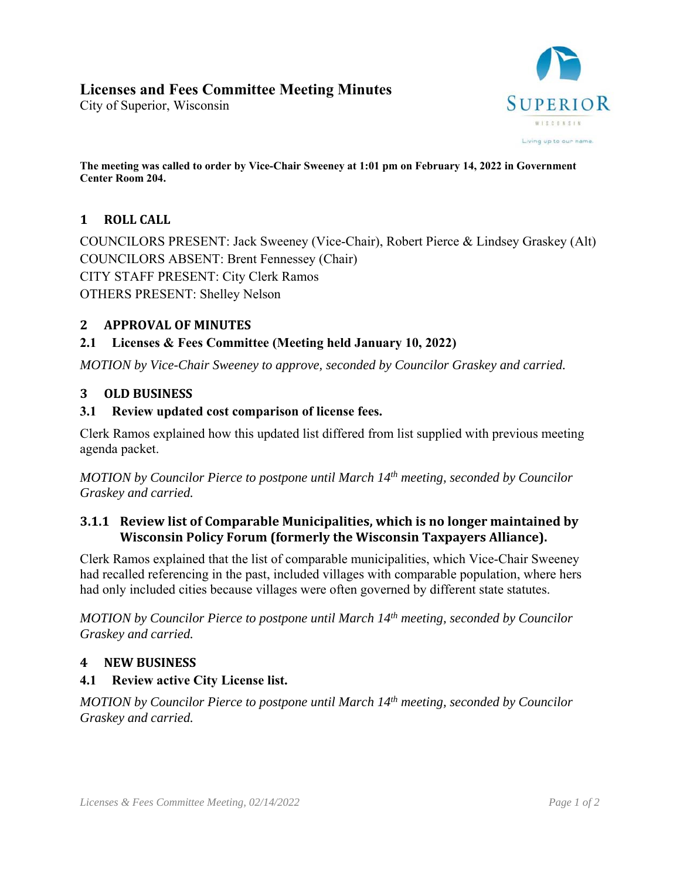# **Licenses and Fees Committee Meeting Minutes**

City of Superior, Wisconsin



**The meeting was called to order by Vice-Chair Sweeney at 1:01 pm on February 14, 2022 in Government Center Room 204.** 

# 1 **ROLL** CALL

COUNCILORS PRESENT: Jack Sweeney (Vice-Chair), Robert Pierce & Lindsey Graskey (Alt) COUNCILORS ABSENT: Brent Fennessey (Chair) CITY STAFF PRESENT: City Clerk Ramos OTHERS PRESENT: Shelley Nelson

### **2 APPROVAL OF MINUTES**

#### **2.1 Licenses & Fees Committee (Meeting held January 10, 2022)**

*MOTION by Vice-Chair Sweeney to approve, seconded by Councilor Graskey and carried.* 

#### **3 OLD BUSINESS**

#### **3.1 Review updated cost comparison of license fees.**

Clerk Ramos explained how this updated list differed from list supplied with previous meeting agenda packet.

*MOTION by Councilor Pierce to postpone until March 14th meeting, seconded by Councilor Graskey and carried.* 

### **3.1.1 Review list of Comparable Municipalities, which is no longer maintained by Wisconsin Policy Forum (formerly the Wisconsin Taxpayers Alliance).**

Clerk Ramos explained that the list of comparable municipalities, which Vice-Chair Sweeney had recalled referencing in the past, included villages with comparable population, where hers had only included cities because villages were often governed by different state statutes.

*MOTION by Councilor Pierce to postpone until March 14th meeting, seconded by Councilor Graskey and carried.* 

#### **4 NEW BUSINESS**

#### **4.1 Review active City License list.**

*MOTION by Councilor Pierce to postpone until March 14th meeting, seconded by Councilor Graskey and carried.*